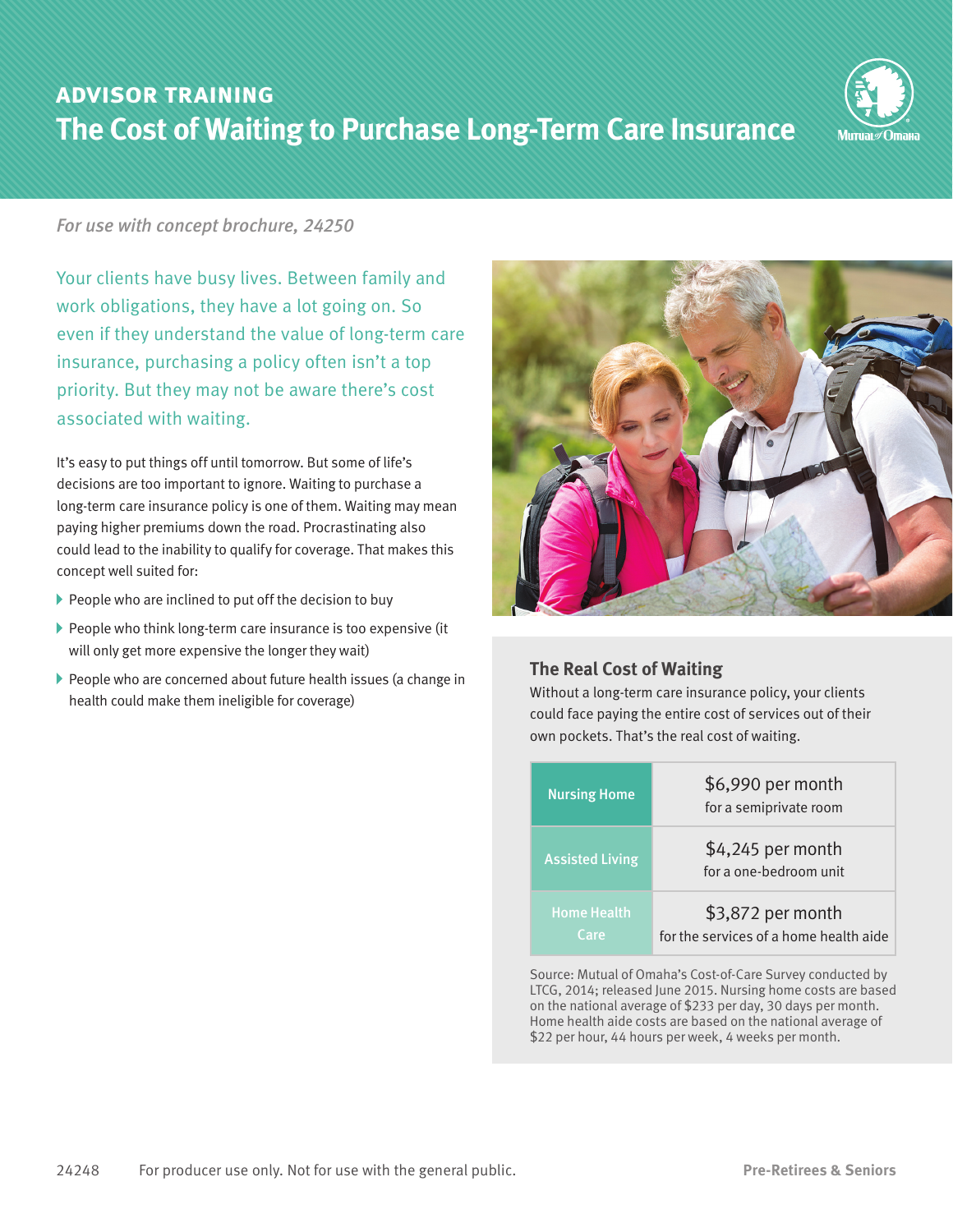# **advisor training The Cost of Waiting to Purchase Long-Term Care Insurance**



### *For use with concept brochure, 24250*

Your clients have busy lives. Between family and work obligations, they have a lot going on. So even if they understand the value of long-term care insurance, purchasing a policy often isn't a top priority. But they may not be aware there's cost associated with waiting.

It's easy to put things off until tomorrow. But some of life's decisions are too important to ignore. Waiting to purchase a long-term care insurance policy is one of them. Waiting may mean paying higher premiums down the road. Procrastinating also could lead to the inability to qualify for coverage. That makes this concept well suited for:

- $\blacktriangleright$  People who are inclined to put off the decision to buy
- $\triangleright$  People who think long-term care insurance is too expensive (it will only get more expensive the longer they wait)
- People who are concerned about future health issues (a change in health could make them ineligible for coverage)



# **The Real Cost of Waiting**

Without a long-term care insurance policy, your clients could face paying the entire cost of services out of their own pockets. That's the real cost of waiting.

| <b>Nursing Home</b>        | \$6,990 per month<br>for a semiprivate room                 |
|----------------------------|-------------------------------------------------------------|
| <b>Assisted Living</b>     | \$4,245 per month<br>for a one-bedroom unit                 |
| <b>Home Health</b><br>Care | \$3,872 per month<br>for the services of a home health aide |

Source: Mutual of Omaha's Cost-of-Care Survey conducted by LTCG, 2014; released June 2015. Nursing home costs are based on the national average of \$233 per day, 30 days per month. Home health aide costs are based on the national average of \$22 per hour, 44 hours per week, 4 weeks per month.